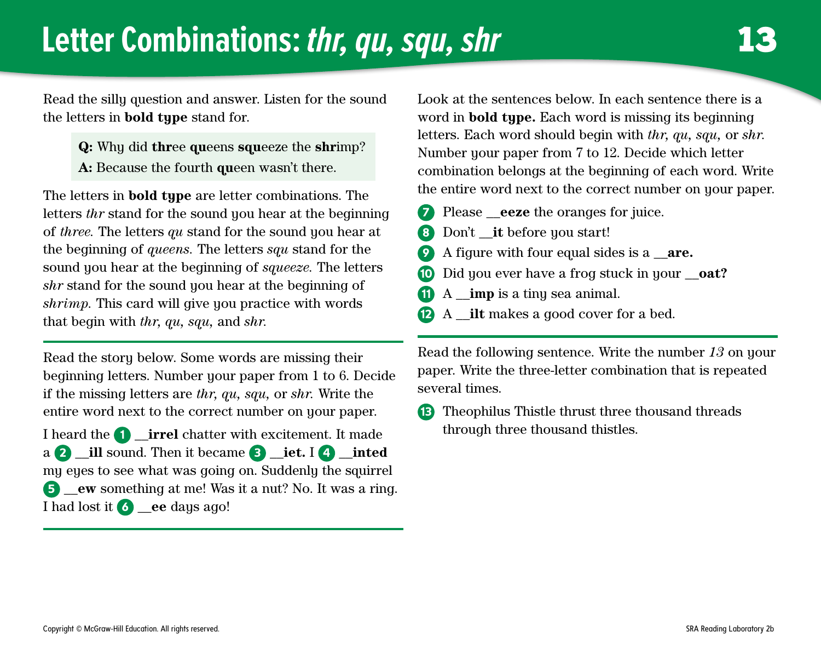## **Letter Combinations:** *thr, qu, squ, shr* **13**

Read the silly question and answer. Listen for the sound the letters in **bold type** stand for.

- **Q:** Why did **thr**ee **qu**eens **squ**eeze the **shr**imp?
- **A:** Because the fourth **qu**een wasn't there.

The letters in **bold type** are letter combinations. The letters *thr* stand for the sound you hear at the beginning of *three.* The letters *qu* stand for the sound you hear at the beginning of *queens.* The letters *squ* stand for the sound you hear at the beginning of *squeeze.* The letters *shr* stand for the sound you hear at the beginning of *shrimp.* This card will give you practice with words that begin with *thr, qu, squ,* and *shr.*

Read the story below. Some words are missing their beginning letters. Number your paper from 1 to 6. Decide if the missing letters are *thr, qu, squ,* or *shr.* Write the entire word next to the correct number on your paper.

I heard the 1 \_\_**irrel** chatter with excitement. It made a 2 \_\_**ill** sound. Then it became 3 \_\_**iet.** I 4 \_\_**inted** my eyes to see what was going on. Suddenly the squirrel 5 \_\_**ew** something at me! Was it a nut? No. It was a ring. I had lost it 6 \_\_**ee** days ago!

Look at the sentences below. In each sentence there is a word in **bold type.** Each word is missing its beginning letters. Each word should begin with *thr, qu, squ,* or *shr.* Number your paper from 7 to 12. Decide which letter combination belongs at the beginning of each word. Write the entire word next to the correct number on your paper.

- Please **eeze** the oranges for juice.
- 8 Don't **it** before you start!
- 9 A figure with four equal sides is a \_\_**are.**
- 10 Did you ever have a frog stuck in your \_\_**oat?**
- 11 A **imp** is a tiny sea animal.
- 12 A \_\_**ilt** makes a good cover for a bed.

Read the following sentence. Write the number *13* on your paper. Write the three-letter combination that is repeated several times.

13 Theophilus Thistle thrust three thousand threads through three thousand thistles.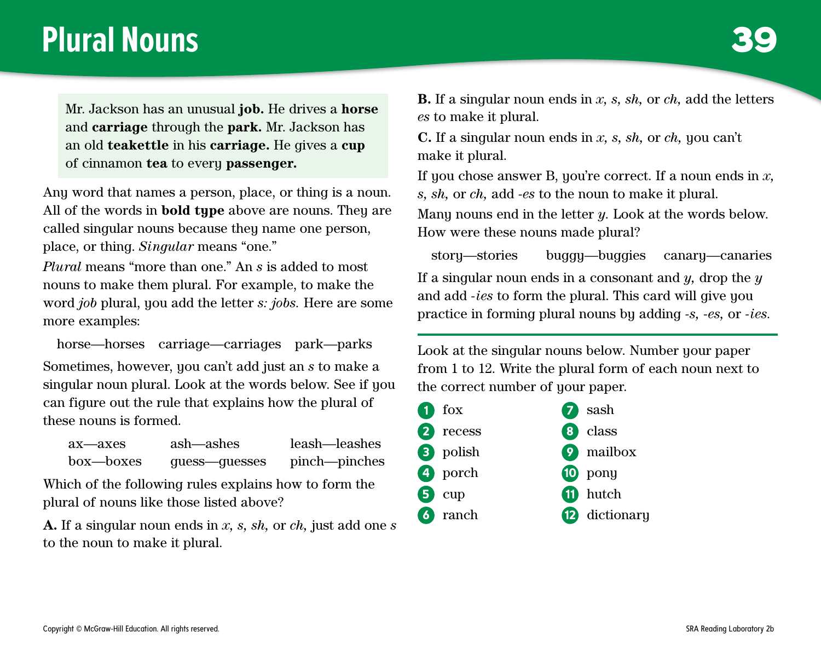#### **Plural Nouns**

Mr. Jackson has an unusual **job.** He drives a **horse** and **carriage** through the **park.** Mr. Jackson has an old **teakettle** in his **carriage.** He gives a **cup** of cinnamon **tea** to every **passenger.**

Any word that names a person, place, or thing is a noun. All of the words in **bold type** above are nouns. They are called singular nouns because they name one person, place, or thing. *Singular* means "one."

*Plural* means "more than one." An *s* is added to most nouns to make them plural. For example, to make the word *job* plural, you add the letter *s: jobs.* Here are some more examples:

horse—horses carriage—carriages park—parks Sometimes, however, you can't add just an *s* to make a singular noun plural. Look at the words below. See if you can figure out the rule that explains how the plural of these nouns is formed.

| ax—axes   | ash—ashes     | leash—leashes |
|-----------|---------------|---------------|
| box—boxes | quess—quesses | pinch—pinches |

Which of the following rules explains how to form the plural of nouns like those listed above?

**A.** If a singular noun ends in *x, s, sh,* or *ch,* just add one *s* to the noun to make it plural.

**B.** If a singular noun ends in *x, s, sh,* or *ch,* add the letters *es* to make it plural.

**C.** If a singular noun ends in *x, s, sh,* or *ch,* you can't make it plural.

If you chose answer B, you're correct. If a noun ends in *x, s, sh,* or *ch,* add *-es* to the noun to make it plural.

Many nouns end in the letter *y.* Look at the words below. How were these nouns made plural?

story—stories buggy—buggies canary—canaries If a singular noun ends in a consonant and *y,* drop the *y* and add *-ies* to form the plural. This card will give you practice in forming plural nouns by adding *-s, -es,* or *-ies.*

Look at the singular nouns below. Number your paper from 1 to 12. Write the plural form of each noun next to the correct number of your paper.

| $\overline{1}$ fox | $\sum$ sash             |
|--------------------|-------------------------|
| 2 recess           | 8 class                 |
| <b>3</b> polish    | 9 mailbox               |
| 4 porch            | 10 pony                 |
| $\overline{5}$ cup | <b>11</b> hutch         |
| 6 ranch            | <sup>2</sup> dictionary |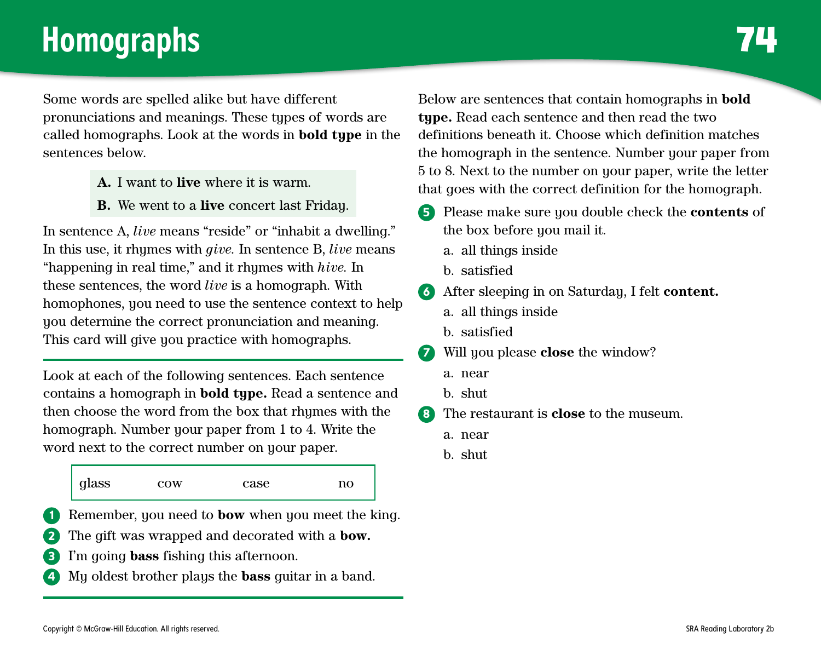## **Homographs 74**

Some words are spelled alike but have different pronunciations and meanings. These types of words are called homographs. Look at the words in **bold type** in the sentences below.

- **A.** I want to **live** where it is warm.
- **B.** We went to a **live** concert last Friday.

In sentence A, *live* means "reside" or "inhabit a dwelling." In this use, it rhymes with *give.* In sentence B, *live* means "happening in real time," and it rhymes with *hive.* In these sentences, the word *live* is a homograph. With homophones, you need to use the sentence context to help you determine the correct pronunciation and meaning. This card will give you practice with homographs.

Look at each of the following sentences. Each sentence contains a homograph in **bold type.** Read a sentence and then choose the word from the box that rhymes with the homograph. Number your paper from 1 to 4. Write the word next to the correct number on your paper.

| glass | $_{\rm{row}}$ | case | no |
|-------|---------------|------|----|
|       |               |      |    |

Remember, you need to **bow** when you meet the king.

- 2 The gift was wrapped and decorated with a **bow.**
- 3 I'm going **bass** fishing this afternoon.
- 4 My oldest brother plays the **bass** guitar in a band.

Below are sentences that contain homographs in **bold type.** Read each sentence and then read the two definitions beneath it. Choose which definition matches the homograph in the sentence. Number your paper from 5 to 8. Next to the number on your paper, write the letter that goes with the correct definition for the homograph.

- 5 Please make sure you double check the **contents** of the box before you mail it.
	- a. all things inside
	- b. satisfied
- 6 After sleeping in on Saturday, I felt **content.**
	- a. all things inside
	- b. satisfied
- 7 Will you please **close** the window?
	- a. near
	- b. shut
- 8 The restaurant is **close** to the museum.
	- a. near
	- b. shut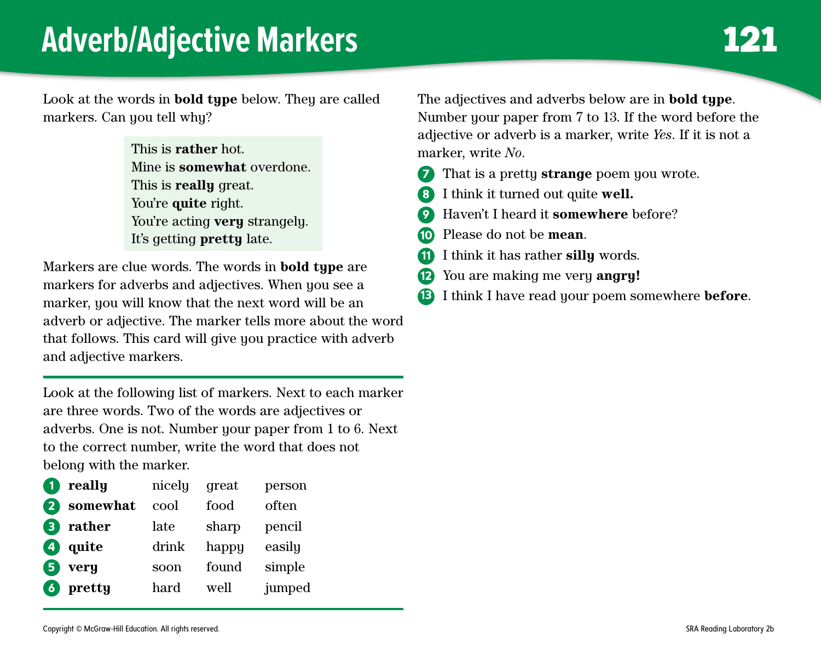#### **Adverb/Adjective Markers**

Look at the words in **bold type** below. They are called markers. Can you tell why?

> This is **rather** hot. Mine is **somewhat** overdone. This is **really** great. You're **quite** right. You're acting **very** strangely. It's getting **pretty** late.

Markers are clue words. The words in **bold type** are markers for adverbs and adjectives. When you see a marker, you will know that the next word will be an adverb or adjective. The marker tells more about the word that follows. This card will give you practice with adverb and adjective markers.

Look at the following list of markers. Next to each marker are three words. Two of the words are adjectives or adverbs. One is not. Number your paper from 1 to 6. Next to the correct number, write the word that does not belong with the marker.

| G              | really   | nicely | great | person |
|----------------|----------|--------|-------|--------|
| 2              | somewhat | cool   | food  | often  |
| 3              | rather   | late   | sharp | pencil |
| $\overline{A}$ | quite    | drink  | happy | easily |
| 5              | very     | soon   | found | simple |
| $\boxed{6}$    | pretty   | hard   | well  | jumped |

The adjectives and adverbs below are in **bold type**. Number your paper from 7 to 13. If the word before the adjective or adverb is a marker, write *Yes*. If it is not a marker, write *No*.

- 7 That is a pretty **strange** poem you wrote.
- 8 I think it turned out quite **well.**
- 9 Haven't I heard it **somewhere** before?
- 10 Please do not be **mean**.
- 11 I think it has rather **silly** words.
- 12 You are making me very **angry!**
- 13 I think I have read your poem somewhere **before**.